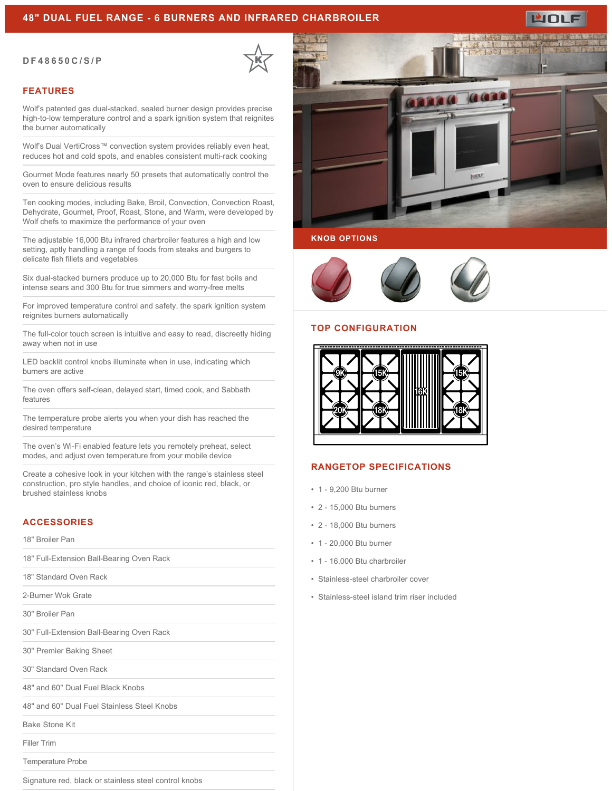### **48" DUAL FUEL RANGE - 6 BURNERS AND INFRARED CHARBROILER**

#### **DF48650C/S/P**

### **FEATURES**

Wolf's patented gas dual-stacked, sealed burner design provides precise high-to-low temperature control and a spark ignition system that reignites the burner automatically

Wolf's Dual VertiCross™ convection system provides reliably even heat, reduces hot and cold spots, and enables consistent multi-rack cooking

Gourmet Mode features nearly 50 presets that automatically control the oven to ensure delicious results

Ten cooking modes, including Bake, Broil, Convection, Convection Roast, Dehydrate, Gourmet, Proof, Roast, Stone, and Warm, were developed by Wolf chefs to maximize the performance of your oven

The adjustable 16,000 Btu infrared charbroiler features a high and low setting, aptly handling a range of foods from steaks and burgers to delicate fish fillets and vegetables

Six dual-stacked burners produce up to 20,000 Btu for fast boils and intense sears and 300 Btu for true simmers and worry-free melts

For improved temperature control and safety, the spark ignition system reignites burners automatically

The full-color touch screen is intuitive and easy to read, discreetly hiding away when not in use

LED backlit control knobs illuminate when in use, indicating which burners are active

The oven offers self-clean, delayed start, timed cook, and Sabbath features

The temperature probe alerts you when your dish has reached the desired temperature

The oven's Wi-Fi enabled feature lets you remotely preheat, select modes, and adjust oven temperature from your mobile device

Create a cohesive look in your kitchen with the range's stainless steel construction, pro style handles, and choice of iconic red, black, or brushed stainless knobs

# **ACCESSORIES**

18" Broiler Pan

18" Full-Extension Ball-Bearing Oven Rack

18" Standard Oven Rack

2-Burner Wok Grate

30" Broiler Pan

30" Full-Extension Ball-Bearing Oven Rack

30" Premier Baking Sheet

30" Standard Oven Rack

48" and 60" Dual Fuel Black Knobs

48" and 60" Dual Fuel Stainless Steel Knobs

Bake Stone Kit

Filler Trim

Temperature Probe

Signature red, black or stainless steel control knobs



#### **KNOB OPTIONS**



#### **TOP CONFIGURATION**



# **RANGETOP SPECIFICATIONS**

- 1 9,200 Btu burner
- 2 15,000 Btu burners
- 2 18,000 Btu burners
- 1 20,000 Btu burner
- 1 16,000 Btu charbroiler
- Stainless-steel charbroiler cover
- Stainless-steel island trim riser included



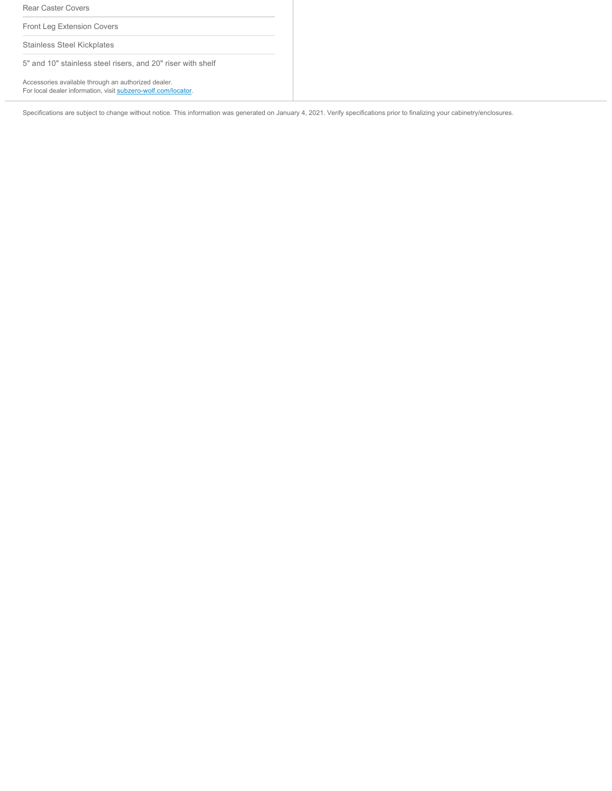Rear Caster Covers

Front Leg Extension Covers

Stainless Steel Kickplates

5" and 10" stainless steel risers, and 20" riser with shelf

Accessories available through an authorized dealer. For local dealer information, visit [subzero-wolf.com/locator.](http://www.subzero-wolf.com/locator)

Specifications are subject to change without notice. This information was generated on January 4, 2021. Verify specifications prior to finalizing your cabinetry/enclosures.